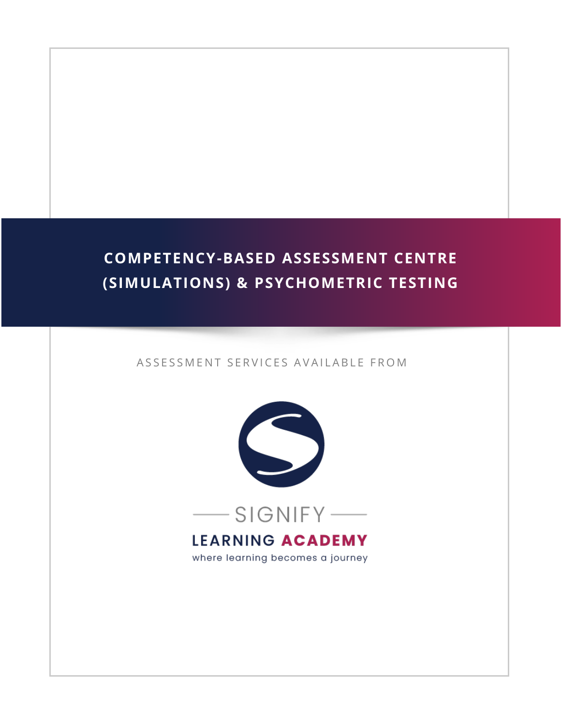# **COMPETENCY-BASED ASSESSMENT CENTRE (SIMULATIONS) & PSYCHOMETRIC TESTING**

#### ASSESSMENT SERVICES AVAILABLE FROM



### **LEARNING ACADEMY**

where learning becomes a journey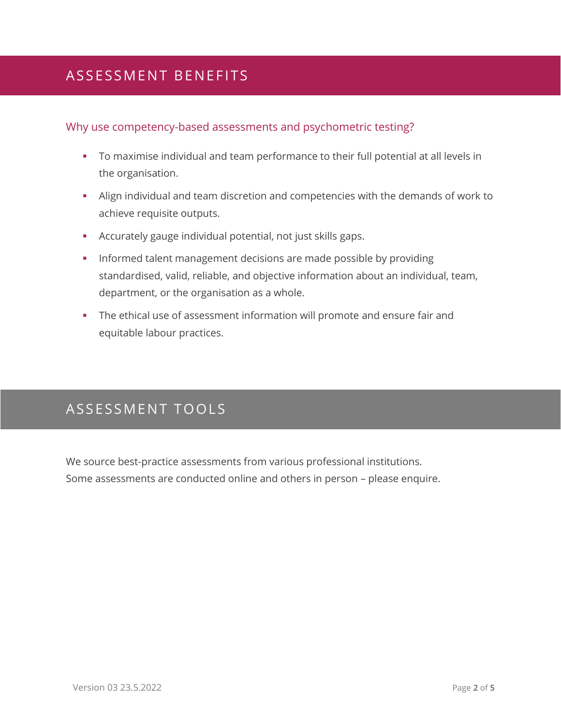### ASSESSMENT BENEFITS

#### Why use competency-based assessments and psychometric testing?

- To maximise individual and team performance to their full potential at all levels in the organisation.
- **EXECT** Align individual and team discretion and competencies with the demands of work to achieve requisite outputs.
- Accurately gauge individual potential, not just skills gaps.
- **•** Informed talent management decisions are made possible by providing standardised, valid, reliable, and objective information about an individual, team, department, or the organisation as a whole.
- **•** The ethical use of assessment information will promote and ensure fair and equitable labour practices.

### ASSESSMENT TOOLS

We source best-practice assessments from various professional institutions. Some assessments are conducted online and others in person – please enquire.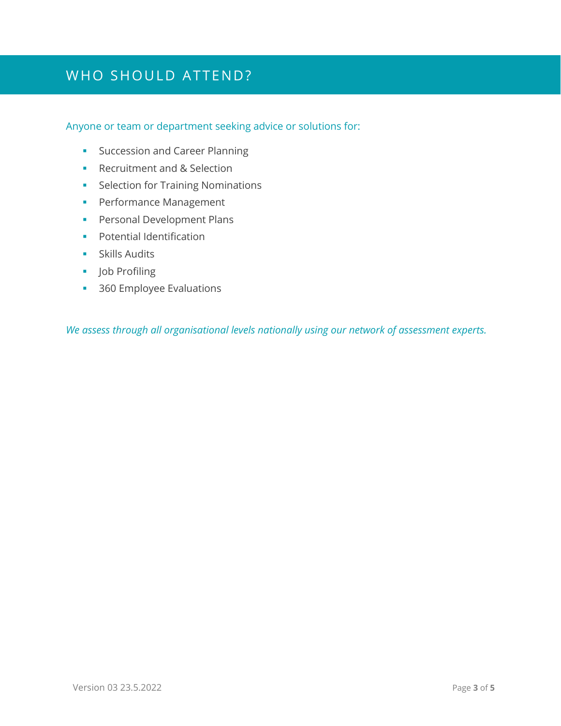### WHO SHOULD ATTEND?

#### Anyone or team or department seeking advice or solutions for:

- **•** Succession and Career Planning
- Recruitment and & Selection
- **•** Selection for Training Nominations
- **•** Performance Management
- **•** Personal Development Plans
- Potential Identification
- **•** Skills Audits
- Job Profiling
- 360 Employee Evaluations

*We assess through all organisational levels nationally using our network of assessment experts.*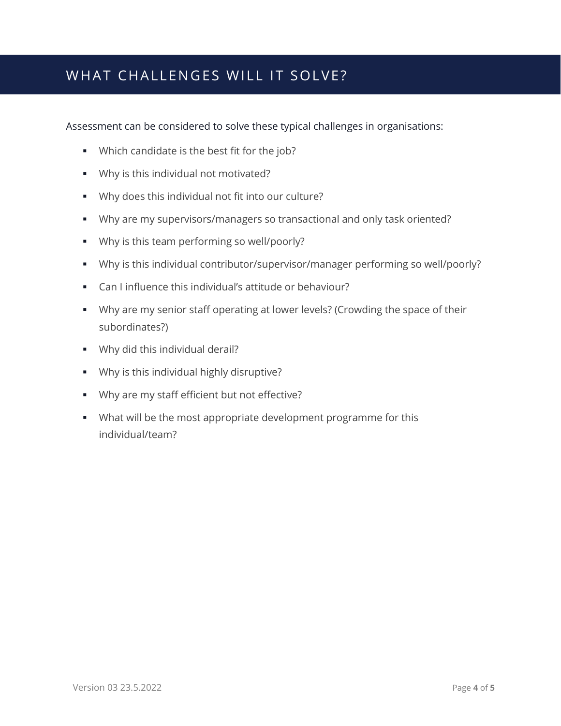### WHAT CHALLENGES WILL IT SOLVE?

Assessment can be considered to solve these typical challenges in organisations:

- Which candidate is the best fit for the job?
- Why is this individual not motivated?
- Why does this individual not fit into our culture?
- Why are my supervisors/managers so transactional and only task oriented?
- Why is this team performing so well/poorly?
- Why is this individual contributor/supervisor/manager performing so well/poorly?
- Can I influence this individual's attitude or behaviour?
- **■** Why are my senior staff operating at lower levels? (Crowding the space of their subordinates?)
- **•** Why did this individual derail?
- Why is this individual highly disruptive?
- Why are my staff efficient but not effective?
- What will be the most appropriate development programme for this individual/team?